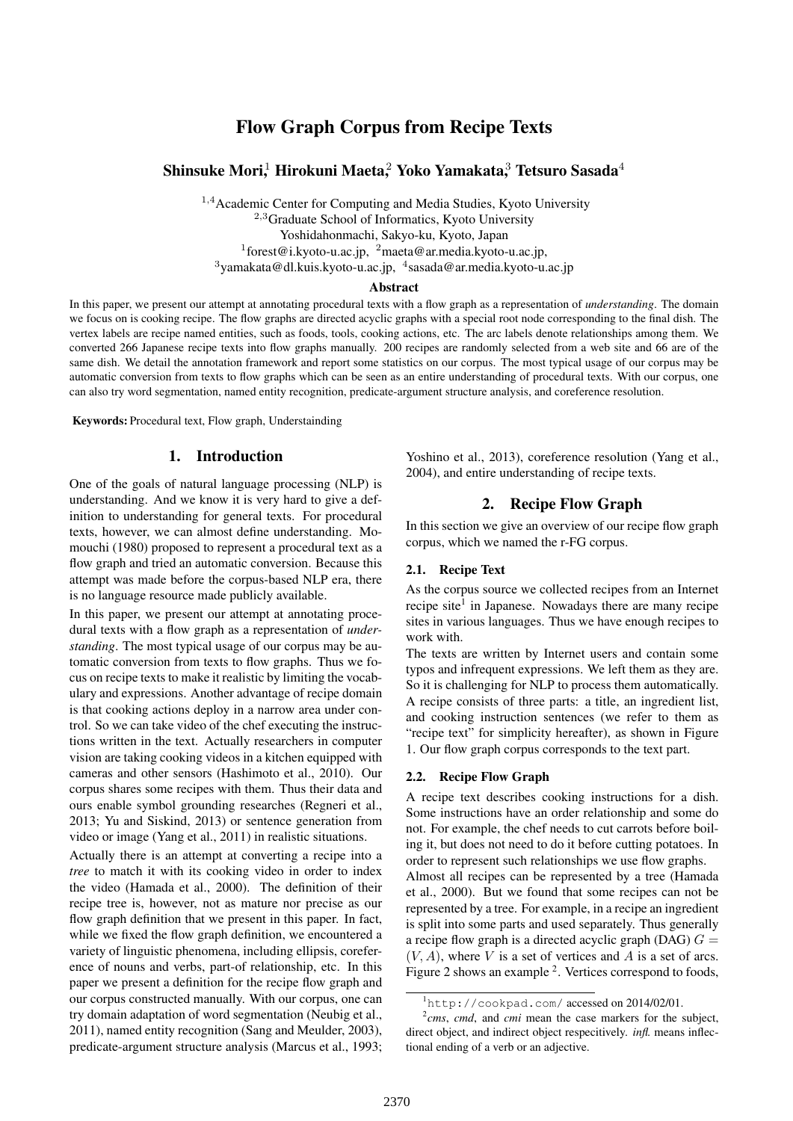## Flow Graph Corpus from Recipe Texts

## Shinsuke Mori,<sup>1</sup> Hirokuni Maeta,<sup>2</sup> Yoko Yamakata,<sup>3</sup> Tetsuro Sasada<sup>4</sup>

<sup>1</sup>*,*<sup>4</sup>Academic Center for Computing and Media Studies, Kyoto University <sup>2</sup>*,*<sup>3</sup>Graduate School of Informatics, Kyoto University Yoshidahonmachi, Sakyo-ku, Kyoto, Japan 1 forest@i.kyoto-u.ac.jp, <sup>2</sup>maeta@ar.media.kyoto-u.ac.jp, <sup>3</sup>yamakata@dl.kuis.kyoto-u.ac.jp, <sup>4</sup>sasada@ar.media.kyoto-u.ac.jp

#### Abstract

In this paper, we present our attempt at annotating procedural texts with a flow graph as a representation of *understanding*. The domain we focus on is cooking recipe. The flow graphs are directed acyclic graphs with a special root node corresponding to the final dish. The vertex labels are recipe named entities, such as foods, tools, cooking actions, etc. The arc labels denote relationships among them. We converted 266 Japanese recipe texts into flow graphs manually. 200 recipes are randomly selected from a web site and 66 are of the same dish. We detail the annotation framework and report some statistics on our corpus. The most typical usage of our corpus may be automatic conversion from texts to flow graphs which can be seen as an entire understanding of procedural texts. With our corpus, one can also try word segmentation, named entity recognition, predicate-argument structure analysis, and coreference resolution.

Keywords: Procedural text, Flow graph, Understainding

#### 1. Introduction

One of the goals of natural language processing (NLP) is understanding. And we know it is very hard to give a definition to understanding for general texts. For procedural texts, however, we can almost define understanding. Momouchi (1980) proposed to represent a procedural text as a flow graph and tried an automatic conversion. Because this attempt was made before the corpus-based NLP era, there is no language resource made publicly available.

In this paper, we present our attempt at annotating procedural texts with a flow graph as a representation of *understanding*. The most typical usage of our corpus may be automatic conversion from texts to flow graphs. Thus we focus on recipe texts to make it realistic by limiting the vocabulary and expressions. Another advantage of recipe domain is that cooking actions deploy in a narrow area under control. So we can take video of the chef executing the instructions written in the text. Actually researchers in computer vision are taking cooking videos in a kitchen equipped with cameras and other sensors (Hashimoto et al., 2010). Our corpus shares some recipes with them. Thus their data and ours enable symbol grounding researches (Regneri et al., 2013; Yu and Siskind, 2013) or sentence generation from video or image (Yang et al., 2011) in realistic situations.

Actually there is an attempt at converting a recipe into a *tree* to match it with its cooking video in order to index the video (Hamada et al., 2000). The definition of their recipe tree is, however, not as mature nor precise as our flow graph definition that we present in this paper. In fact, while we fixed the flow graph definition, we encountered a variety of linguistic phenomena, including ellipsis, coreference of nouns and verbs, part-of relationship, etc. In this paper we present a definition for the recipe flow graph and our corpus constructed manually. With our corpus, one can try domain adaptation of word segmentation (Neubig et al., 2011), named entity recognition (Sang and Meulder, 2003), predicate-argument structure analysis (Marcus et al., 1993;

Yoshino et al., 2013), coreference resolution (Yang et al., 2004), and entire understanding of recipe texts.

## 2. Recipe Flow Graph

In this section we give an overview of our recipe flow graph corpus, which we named the r-FG corpus.

#### 2.1. Recipe Text

As the corpus source we collected recipes from an Internet recipe site<sup>1</sup> in Japanese. Nowadays there are many recipe sites in various languages. Thus we have enough recipes to work with.

The texts are written by Internet users and contain some typos and infrequent expressions. We left them as they are. So it is challenging for NLP to process them automatically. A recipe consists of three parts: a title, an ingredient list, and cooking instruction sentences (we refer to them as "recipe text" for simplicity hereafter), as shown in Figure 1. Our flow graph corpus corresponds to the text part.

#### 2.2. Recipe Flow Graph

A recipe text describes cooking instructions for a dish. Some instructions have an order relationship and some do not. For example, the chef needs to cut carrots before boiling it, but does not need to do it before cutting potatoes. In order to represent such relationships we use flow graphs. Almost all recipes can be represented by a tree (Hamada et al., 2000). But we found that some recipes can not be represented by a tree. For example, in a recipe an ingredient is split into some parts and used separately. Thus generally a recipe flow graph is a directed acyclic graph (DAG)  $G =$ (*V, A*), where *V* is a set of vertices and *A* is a set of arcs. Figure 2 shows an example <sup>2</sup>. Vertices correspond to foods,

<sup>1</sup>http://cookpad.com/ accessed on 2014/02/01.

<sup>2</sup> *cms*, *cmd*, and *cmi* mean the case markers for the subject, direct object, and indirect object respecitively. *infl.* means inflectional ending of a verb or an adjective.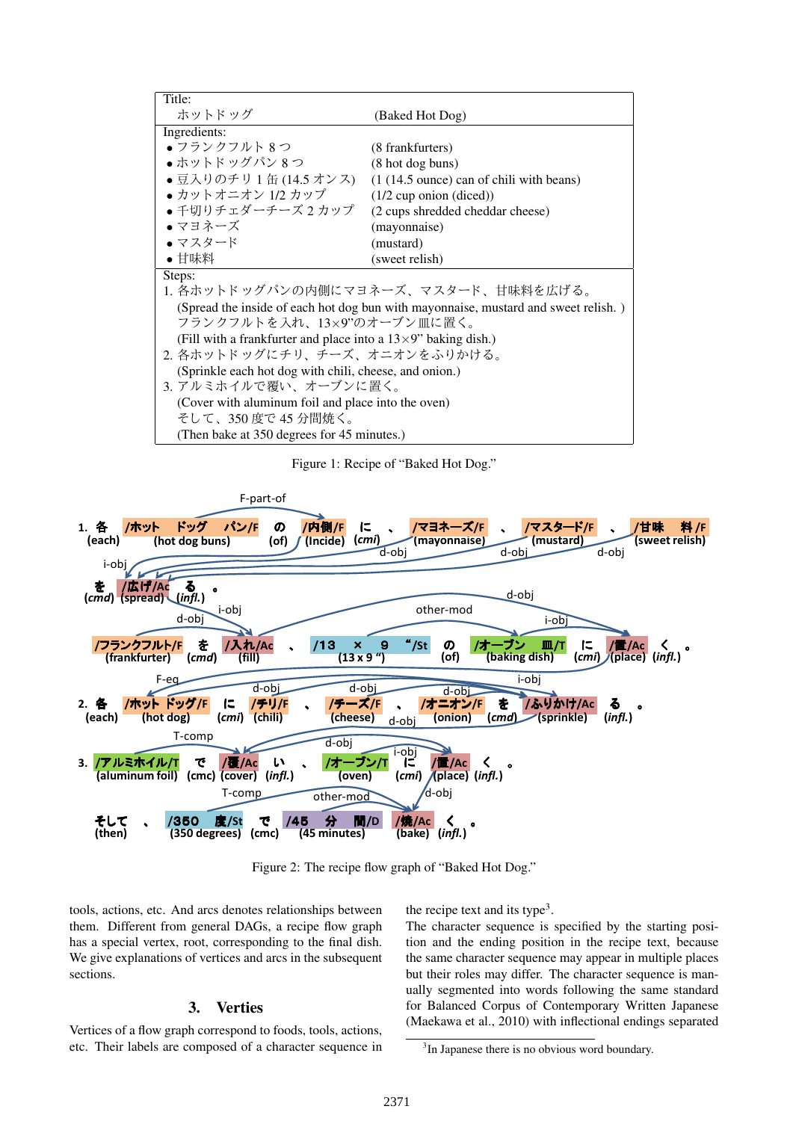| Title:                                                                             |                                            |  |  |  |  |
|------------------------------------------------------------------------------------|--------------------------------------------|--|--|--|--|
| ホットドッグ                                                                             | (Baked Hot Dog)                            |  |  |  |  |
| Ingredients:                                                                       |                                            |  |  |  |  |
| ●フランクフルト 8つ                                                                        | (8 frankfurters)                           |  |  |  |  |
| ●ホットドッグパン 8つ                                                                       | (8 hot dog buns)                           |  |  |  |  |
| ●豆入りのチリ1缶(14.5 オンス)                                                                | $(1(14.5)$ ounce) can of chili with beans) |  |  |  |  |
| ● カットオニオン 1/2 カップ                                                                  | $(1/2$ cup onion $(diced))$                |  |  |  |  |
| ● 千切りチェダーチーズ2カップ                                                                   | (2 cups shredded cheddar cheese)           |  |  |  |  |
| ●マヨネーズ                                                                             | (mayonnaise)                               |  |  |  |  |
| • マスタード                                                                            | (mustard)                                  |  |  |  |  |
| •甘味料                                                                               | (sweet relish)                             |  |  |  |  |
| Steps:                                                                             |                                            |  |  |  |  |
| 1. 各ホットドッグパンの内側にマヨネーズ、マスタード、甘味料を広げる。                                               |                                            |  |  |  |  |
| (Spread the inside of each hot dog bun with mayonnaise, mustard and sweet relish.) |                                            |  |  |  |  |
| フランクフルトを入れ、13×9"のオーブン皿に置く。                                                         |                                            |  |  |  |  |
| (Fill with a frankfurter and place into a $13\times9$ " baking dish.)              |                                            |  |  |  |  |
| 2. 各ホットドッグにチリ、チーズ、オニオンをふりかける。                                                      |                                            |  |  |  |  |
| (Sprinkle each hot dog with chili, cheese, and onion.)                             |                                            |  |  |  |  |
| 3. アルミホイルで覆い、オーブンに置く。                                                              |                                            |  |  |  |  |
| (Cover with aluminum foil and place into the oven)                                 |                                            |  |  |  |  |
| そして、350 度で 45 分間焼く。                                                                |                                            |  |  |  |  |
| (Then bake at 350 degrees for 45 minutes.)                                         |                                            |  |  |  |  |

Figure 1: Recipe of "Baked Hot Dog."



Figure 2: The recipe flow graph of "Baked Hot Dog."

tools, actions, etc. And arcs denotes relationships between them. Different from general DAGs, a recipe flow graph has a special vertex, root, corresponding to the final dish. We give explanations of vertices and arcs in the subsequent sections.

## 3. Verties

Vertices of a flow graph correspond to foods, tools, actions, etc. Their labels are composed of a character sequence in the recipe text and its type<sup>3</sup>.

The character sequence is specified by the starting position and the ending position in the recipe text, because the same character sequence may appear in multiple places but their roles may differ. The character sequence is manually segmented into words following the same standard for Balanced Corpus of Contemporary Written Japanese (Maekawa et al., 2010) with inflectional endings separated

<sup>&</sup>lt;sup>3</sup>In Japanese there is no obvious word boundary.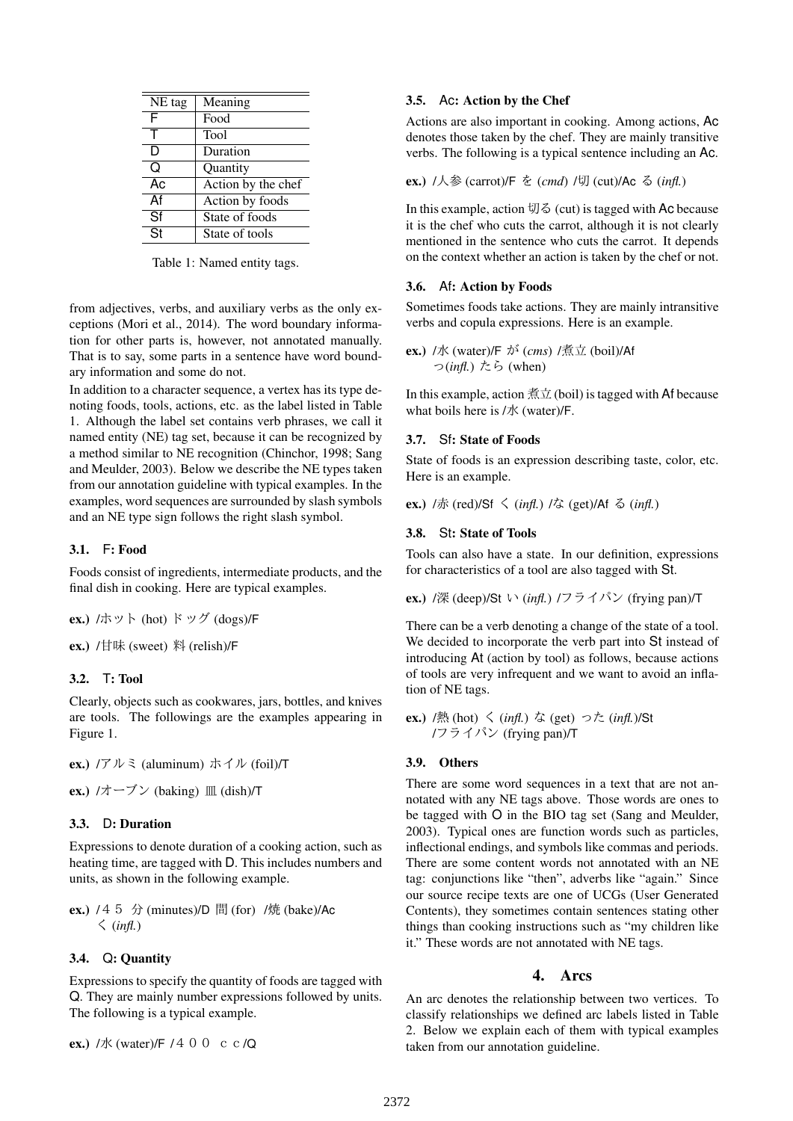| NE tag                   | Meaning            |
|--------------------------|--------------------|
| F                        | Food               |
| т                        | <b>Tool</b>        |
| D                        | Duration           |
| Q                        | Quantity           |
| Ac                       | Action by the chef |
| Af                       | Action by foods    |
| Sf                       | State of foods     |
| $\overline{\mathsf{St}}$ | State of tools     |

Table 1: Named entity tags.

from adjectives, verbs, and auxiliary verbs as the only exceptions (Mori et al., 2014). The word boundary information for other parts is, however, not annotated manually. That is to say, some parts in a sentence have word boundary information and some do not.

In addition to a character sequence, a vertex has its type denoting foods, tools, actions, etc. as the label listed in Table 1. Although the label set contains verb phrases, we call it named entity (NE) tag set, because it can be recognized by a method similar to NE recognition (Chinchor, 1998; Sang and Meulder, 2003). Below we describe the NE types taken from our annotation guideline with typical examples. In the examples, word sequences are surrounded by slash symbols and an NE type sign follows the right slash symbol.

## 3.1. F: Food

Foods consist of ingredients, intermediate products, and the final dish in cooking. Here are typical examples.

ex.) /ホット (hot) ドッグ (dogs)/F

ex.) /甘味 (sweet) 料 (relish)/F

## 3.2. T: Tool

Clearly, objects such as cookwares, jars, bottles, and knives are tools. The followings are the examples appearing in Figure 1.

ex.) /アルミ (aluminum) ホイル (foil)/T

ex.) /オーブン (baking) 皿 (dish)/T

## 3.3. D: Duration

Expressions to denote duration of a cooking action, such as heating time, are tagged with D. This includes numbers and units, as shown in the following example.

ex.)  $/45$  分 (minutes)/D 間 (for) /焼 (bake)/Ac く (*infl.*)

## 3.4. Q: Quantity

Expressions to specify the quantity of foods are tagged with Q. They are mainly number expressions followed by units. The following is a typical example.

```
ex.) /j\kappa (water)/F / 4 0 0 c \epsilon /\Omega
```
## 3.5. Ac: Action by the Chef

Actions are also important in cooking. Among actions, Ac denotes those taken by the chef. They are mainly transitive verbs. The following is a typical sentence including an Ac.

## ex.) /人参 (carrot)/F を (*cmd*) /切 (cut)/Ac る (*infl.*)

In this example, action 切る (cut) is tagged with Ac because it is the chef who cuts the carrot, although it is not clearly mentioned in the sentence who cuts the carrot. It depends on the context whether an action is taken by the chef or not.

## 3.6. Af: Action by Foods

Sometimes foods take actions. They are mainly intransitive verbs and copula expressions. Here is an example.

ex.) /水 (water)/F が (*cms*) /煮立 (boil)/Af っ(*infl.*) たら (when)

In this example, action  $\sharp \exists \pm$  (boil) is tagged with Af because what boils here is /水 (water)/F.

## 3.7. Sf: State of Foods

State of foods is an expression describing taste, color, etc. Here is an example.

ex.)  $/\pi$  (red)/Sf  $\leq$  (*infl.*)  $/\pi$  (get)/Af  $\leq$  (*infl.*)

## 3.8. St: State of Tools

Tools can also have a state. In our definition, expressions for characteristics of a tool are also tagged with St.

ex.) /深 (deep)/St い (*infl.*) /フライパン (frying pan)/T

There can be a verb denoting a change of the state of a tool. We decided to incorporate the verb part into St instead of introducing At (action by tool) as follows, because actions of tools are very infrequent and we want to avoid an inflation of NE tags.

ex.) /熱 (hot) く (*infl.*) な (get) った (*infl.*)/St /フライパン (frying pan)/T

## 3.9. Others

There are some word sequences in a text that are not annotated with any NE tags above. Those words are ones to be tagged with O in the BIO tag set (Sang and Meulder, 2003). Typical ones are function words such as particles, inflectional endings, and symbols like commas and periods. There are some content words not annotated with an NE tag: conjunctions like "then", adverbs like "again." Since our source recipe texts are one of UCGs (User Generated Contents), they sometimes contain sentences stating other things than cooking instructions such as "my children like it." These words are not annotated with NE tags.

## 4. Arcs

An arc denotes the relationship between two vertices. To classify relationships we defined arc labels listed in Table 2. Below we explain each of them with typical examples taken from our annotation guideline.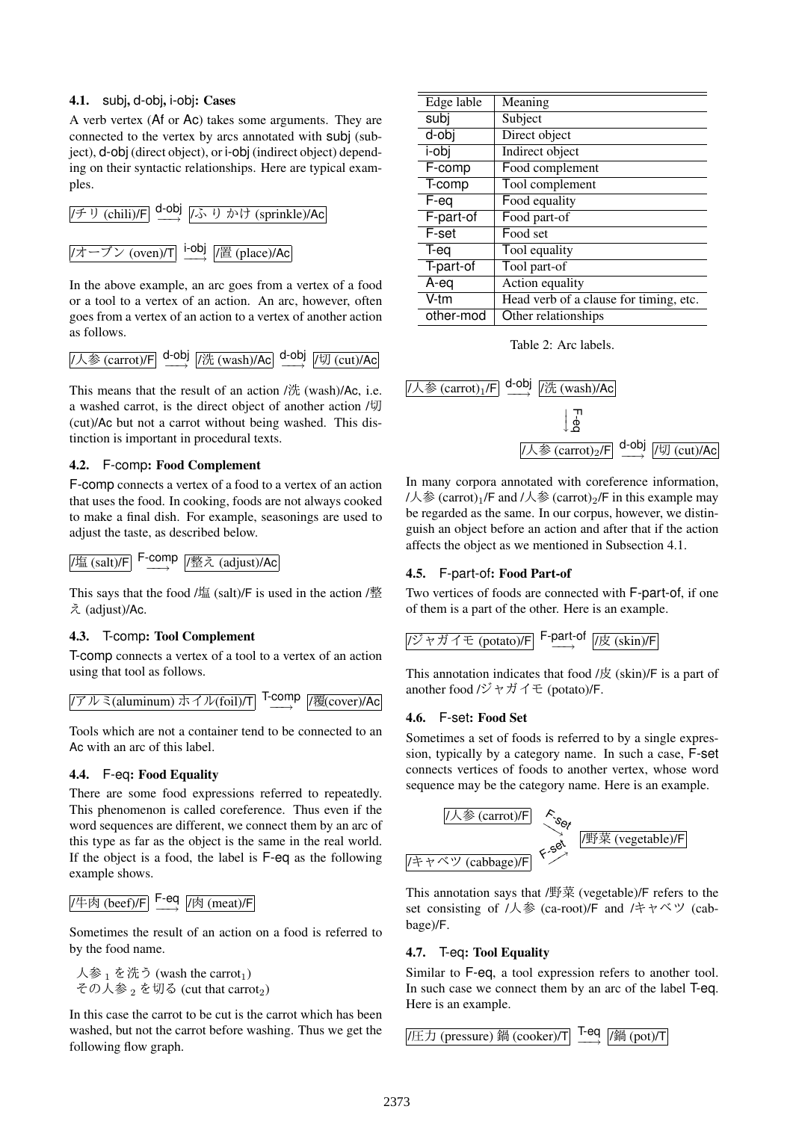## 4.1. subj, d-obj, i-obj: Cases

A verb vertex (Af or Ac) takes some arguments. They are connected to the vertex by arcs annotated with subj (subject), d-obj (direct object), or i-obj (indirect object) depending on their syntactic relationships. Here are typical examples.



In the above example, an arc goes from a vertex of a food or a tool to a vertex of an action. An arc, however, often goes from a vertex of an action to a vertex of another action as follows.

/人参 (carrot)/F d-obj **/洗 (wash)/Ac d-obj /切 (cut)/Ac** 

This means that the result of an action  $\frac{\partial f}{\partial x}$  (wash)/Ac, i.e. a washed carrot, is the direct object of another action /切 (cut)/Ac but not a carrot without being washed. This distinction is important in procedural texts.

## 4.2. F-comp: Food Complement

F-comp connects a vertex of a food to a vertex of an action that uses the food. In cooking, foods are not always cooked to make a final dish. For example, seasonings are used to adjust the taste, as described below.

$$
/I \underline{\text{# (salt)/F}} \xrightarrow{\text{F-comp}} /I \underline{\text{# } \lambda \text{ (adjust)/Ac}}
$$

This says that the food  $\frac{\text{Im} s}{\text{Im} s}$  (salt)/F is used in the action /整 え (adjust)/Ac.

## 4.3. T-comp: Tool Complement

T-comp connects a vertex of a tool to a vertex of an action using that tool as follows.

$$
(\text{F} \cup \text{R}(\text{aluminum}) \text{K} \text{R} \cup \text{K}(\text{foil})/\text{T}) \xrightarrow{\text{T-comp}} [\text{R}(\text{cover})/\text{A}\text{C}]
$$

Tools which are not a container tend to be connected to an Ac with an arc of this label.

## 4.4. F-eq: Food Equality

There are some food expressions referred to repeatedly. This phenomenon is called coreference. Thus even if the word sequences are different, we connect them by an arc of this type as far as the object is the same in the real world. If the object is a food, the label is F-eq as the following example shows.



Sometimes the result of an action on a food is referred to by the food name.

人参  $_1$  を洗う (wash the carrot<sub>1</sub>) その人参<sub>2</sub>を切る (cut that carrot<sub>2</sub>)

In this case the carrot to be cut is the carrot which has been washed, but not the carrot before washing. Thus we get the following flow graph.

| Edge lable | Meaning                                |
|------------|----------------------------------------|
| subj       | Subject                                |
| d-obj      | Direct object                          |
| i-obj      | Indirect object                        |
| F-comp     | Food complement                        |
| T-comp     | Tool complement                        |
| F-eq       | Food equality                          |
| F-part-of  | Food part-of                           |
| F-set      | Food set                               |
| T-eq       | Tool equality                          |
| T-part-of  | Tool part-of                           |
| A-eq       | Action equality                        |
| V-tm       | Head verb of a clause for timing, etc. |
| other-mod  | Other relationships                    |

Table 2: Arc labels.



In many corpora annotated with coreference information, /人参 (carrot)<sub>1</sub>/F and /人参 (carrot)<sub>2</sub>/F in this example may be regarded as the same. In our corpus, however, we distinguish an object before an action and after that if the action affects the object as we mentioned in Subsection 4.1.

## 4.5. F-part-of: Food Part-of

Two vertices of foods are connected with F-part-of, if one of them is a part of the other. Here is an example.

$$
(\overrightarrow{y} + \overrightarrow{y}) \overrightarrow{f} + (\text{potato})/F
$$
 
$$
\rightarrow
$$
 
$$
\overrightarrow{F} \xrightarrow{part-of} \boxed{/\overrightarrow{g} \text{ (skin)}/F}
$$

This annotation indicates that food  $\frac{1}{x}$  (skin)/F is a part of another food /ジャガイモ (potato)/F.

#### 4.6. F-set: Food Set

Sometimes a set of foods is referred to by a single expression, typically by a category name. In such a case, F-set connects vertices of foods to another vertex, whose word sequence may be the category name. Here is an example.



This annotation says that /野菜 (vegetable)/F refers to the set consisting of /人参 (ca-root)/F and /キャベツ (cabbage)/F.

## 4.7. T-eq: Tool Equality

Similar to F-eq, a tool expression refers to another tool. In such case we connect them by an arc of the label T-eq. Here is an example.

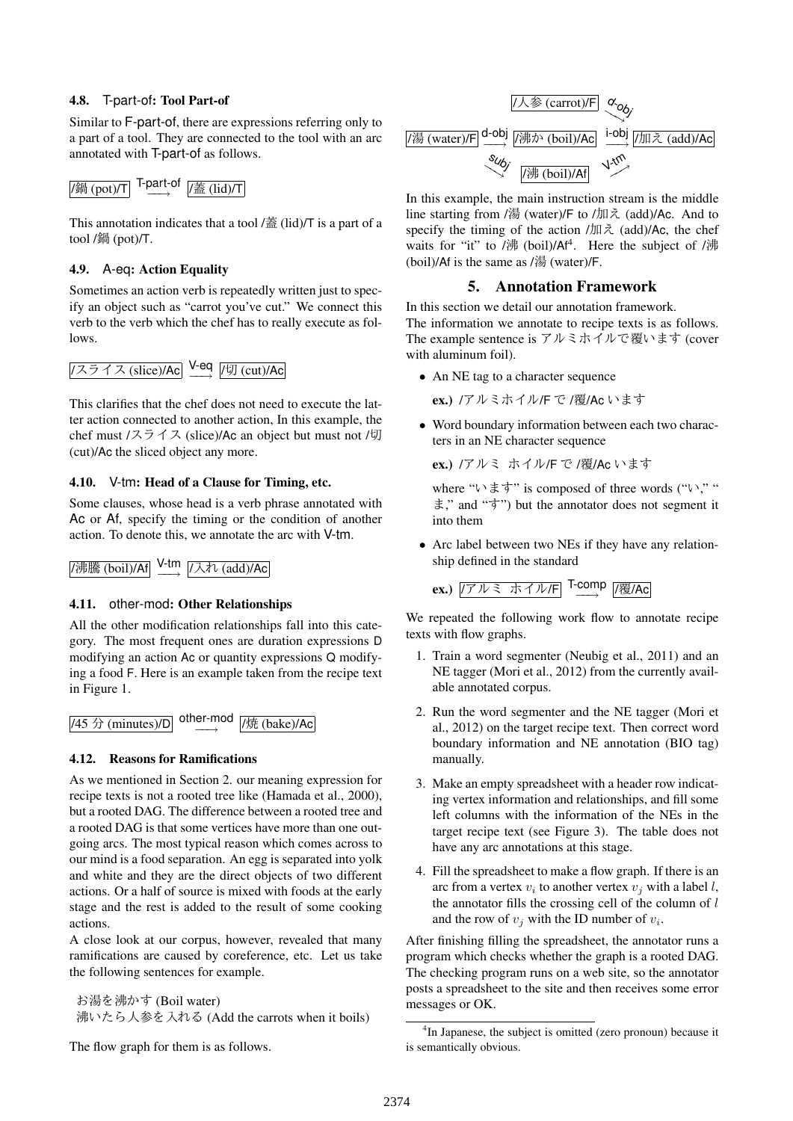## 4.8. T-part-of: Tool Part-of

Similar to F-part-of, there are expressions referring only to a part of a tool. They are connected to the tool with an arc annotated with T-part-of as follows.

#### /鍋 (pot)/T T-part-of <sub>*|*蓋 (lid)/T</sub>

This annotation indicates that a tool /蓋 (lid)/T is a part of a tool /鍋 (pot)/T.

## 4.9. A-eq: Action Equality

Sometimes an action verb is repeatedly written just to specify an object such as "carrot you've cut." We connect this verb to the verb which the chef has to really execute as follows.

# <mark>/スライス (slice)/Ac</mark> Y-eq <sub>|</sub>/切 (cut)/Ac

This clarifies that the chef does not need to execute the latter action connected to another action, In this example, the chef must /スライス (slice)/Ac an object but must not /切 (cut)/Ac the sliced object any more.

#### 4.10. V-tm: Head of a Clause for Timing, etc.

Some clauses, whose head is a verb phrase annotated with Ac or Af, specify the timing or the condition of another action. To denote this, we annotate the arc with V-tm.

/沸騰 (boil)/Af **V-tm** /入れ (add)/Ac

#### 4.11. other-mod: Other Relationships

All the other modification relationships fall into this category. The most frequent ones are duration expressions D modifying an action Ac or quantity expressions Q modifying a food F. Here is an example taken from the recipe text in Figure 1.



#### 4.12. Reasons for Ramifications

As we mentioned in Section 2. our meaning expression for recipe texts is not a rooted tree like (Hamada et al., 2000), but a rooted DAG. The difference between a rooted tree and a rooted DAG is that some vertices have more than one outgoing arcs. The most typical reason which comes across to our mind is a food separation. An egg is separated into yolk and white and they are the direct objects of two different actions. Or a half of source is mixed with foods at the early stage and the rest is added to the result of some cooking actions.

A close look at our corpus, however, revealed that many ramifications are caused by coreference, etc. Let us take the following sentences for example.

お湯を沸かす (Boil water) 沸いたら人参を入れる (Add the carrots when it boils)

The flow graph for them is as follows.



In this example, the main instruction stream is the middle line starting from /湯 (water)/F to /加え (add)/Ac. And to specify the timing of the action /加え (add)/Ac, the chef waits for "it" to /沸 (boil)/Af<sup>4</sup>. Here the subject of /沸 (boil)/Af is the same as  $\frac{1}{10}$  (water)/F.

## 5. Annotation Framework

In this section we detail our annotation framework. The information we annotate to recipe texts is as follows. The example sentence is アルミホイルで覆います (cover with aluminum foil).

• An NE tag to a character sequence

ex.) /アルミホイル/F で /覆/Ac います

*•* Word boundary information between each two characters in an NE character sequence

ex.) /アルミ ホイル/F で /覆/Ac います

where "います" is composed of three words ("い," " ま," and "す") but the annotator does not segment it into them

*•* Arc label between two NEs if they have any relationship defined in the standard

ex.) /アルミ ホイル/F T-comp *−−→* /覆/Ac

We repeated the following work flow to annotate recipe texts with flow graphs.

- 1. Train a word segmenter (Neubig et al., 2011) and an NE tagger (Mori et al., 2012) from the currently available annotated corpus.
- 2. Run the word segmenter and the NE tagger (Mori et al., 2012) on the target recipe text. Then correct word boundary information and NE annotation (BIO tag) manually.
- 3. Make an empty spreadsheet with a header row indicating vertex information and relationships, and fill some left columns with the information of the NEs in the target recipe text (see Figure 3). The table does not have any arc annotations at this stage.
- 4. Fill the spreadsheet to make a flow graph. If there is an arc from a vertex  $v_i$  to another vertex  $v_j$  with a label *l*, the annotator fills the crossing cell of the column of *l* and the row of  $v_j$  with the ID number of  $v_i$ .

After finishing filling the spreadsheet, the annotator runs a program which checks whether the graph is a rooted DAG. The checking program runs on a web site, so the annotator posts a spreadsheet to the site and then receives some error messages or OK.

<sup>&</sup>lt;sup>4</sup>In Japanese, the subject is omitted (zero pronoun) because it is semantically obvious.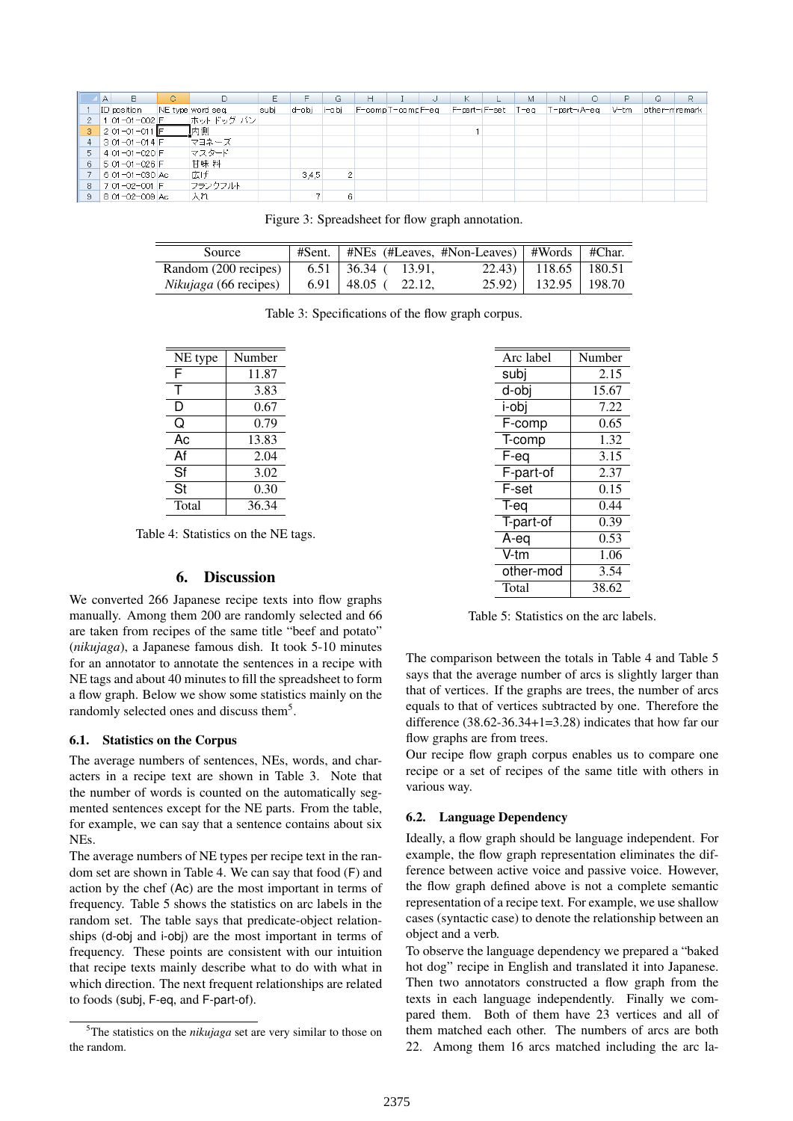|    | Α               | О. |                  |      |       | G     |                  |                    | м | N           |       | Q              |  |
|----|-----------------|----|------------------|------|-------|-------|------------------|--------------------|---|-------------|-------|----------------|--|
|    | ID position     |    | NE type word seq | subi | d-obj | i-obi | F-compT-compF-eq | F-part-dF-set T-eq |   | T-part-A-eq | lV-tm | lother-mremark |  |
|    | 1 01-01-002 F   |    | ホットドッグ バン        |      |       |       |                  |                    |   |             |       |                |  |
|    | $2$ 01-01-011 F |    | 脑内侧              |      |       |       |                  |                    |   |             |       |                |  |
|    | $3$ 01-01-014 F |    | 「マヨネーズ」          |      |       |       |                  |                    |   |             |       |                |  |
|    | 4 01-01-020 F   |    | マスタード            |      |       |       |                  |                    |   |             |       |                |  |
|    | 5 01-01-026 F   |    | 甘味料              |      |       |       |                  |                    |   |             |       |                |  |
|    | 6 01-01-030 Ac  |    | 広げ               |      | 3,4,5 | 2     |                  |                    |   |             |       |                |  |
| -8 | 7 01-02-001 F   |    | フランクフルト          |      |       |       |                  |                    |   |             |       |                |  |
|    | 8 01-02-009 Ac  |    | 入れ               |      |       | 6     |                  |                    |   |             |       |                |  |

Figure 3: Spreadsheet for flow graph annotation.

| Source                       | $#Sent.   #NEs$ (#Leaves, #Non-Leaves)   #Words   #Char. |                           |  |
|------------------------------|----------------------------------------------------------|---------------------------|--|
| Random (200 recipes)         | $6.51$   36.34 ( 13.91,                                  | $22.43$   118.65   180.51 |  |
| <i>Nikujaga</i> (66 recipes) | $6.91 \pm 48.05$ (22.12,                                 | 25.92)   132.95   198.70  |  |

Table 3: Specifications of the flow graph corpus.

| NE type | Number |
|---------|--------|
| F       | 11.87  |
| т       | 3.83   |
| D       | 0.67   |
| Q       | 0.79   |
| Ac      | 13.83  |
| Af      | 2.04   |
| Sf      | 3.02   |
| St      | 0.30   |
| Total   | 36.34  |

Table 4: Statistics on the NE tags.

#### 6. Discussion

We converted 266 Japanese recipe texts into flow graphs manually. Among them 200 are randomly selected and 66 are taken from recipes of the same title "beef and potato" (*nikujaga*), a Japanese famous dish. It took 5-10 minutes for an annotator to annotate the sentences in a recipe with NE tags and about 40 minutes to fill the spreadsheet to form a flow graph. Below we show some statistics mainly on the randomly selected ones and discuss them<sup>5</sup>.

#### 6.1. Statistics on the Corpus

The average numbers of sentences, NEs, words, and characters in a recipe text are shown in Table 3. Note that the number of words is counted on the automatically segmented sentences except for the NE parts. From the table, for example, we can say that a sentence contains about six NEs.

The average numbers of NE types per recipe text in the random set are shown in Table 4. We can say that food (F) and action by the chef (Ac) are the most important in terms of frequency. Table 5 shows the statistics on arc labels in the random set. The table says that predicate-object relationships (d-obj and i-obj) are the most important in terms of frequency. These points are consistent with our intuition that recipe texts mainly describe what to do with what in which direction. The next frequent relationships are related to foods (subj, F-eq, and F-part-of).

| Arc label                    | Number |
|------------------------------|--------|
| subj                         | 2.15   |
| d-obj                        | 15.67  |
| i-obi                        | 7.22   |
| F-comp                       | 0.65   |
| T-comp                       | 1.32   |
| $\overline{\mathsf{F}}$ -eq  | 3.15   |
| F-part-of                    | 2.37   |
| $\overline{\mathsf{F}}$ -set | 0.15   |
| T-eq                         | 0.44   |
| T-part-of                    | 0.39   |
| A-eq                         | 0.53   |
| V-tm                         | 1.06   |
| other-mod                    | 3.54   |
| Total                        | 38.62  |

Table 5: Statistics on the arc labels.

The comparison between the totals in Table 4 and Table 5 says that the average number of arcs is slightly larger than that of vertices. If the graphs are trees, the number of arcs equals to that of vertices subtracted by one. Therefore the difference (38.62-36.34+1=3.28) indicates that how far our flow graphs are from trees.

Our recipe flow graph corpus enables us to compare one recipe or a set of recipes of the same title with others in various way.

#### 6.2. Language Dependency

Ideally, a flow graph should be language independent. For example, the flow graph representation eliminates the difference between active voice and passive voice. However, the flow graph defined above is not a complete semantic representation of a recipe text. For example, we use shallow cases (syntactic case) to denote the relationship between an object and a verb.

To observe the language dependency we prepared a "baked hot dog" recipe in English and translated it into Japanese. Then two annotators constructed a flow graph from the texts in each language independently. Finally we compared them. Both of them have 23 vertices and all of them matched each other. The numbers of arcs are both 22. Among them 16 arcs matched including the arc la-

<sup>5</sup>The statistics on the *nikujaga* set are very similar to those on the random.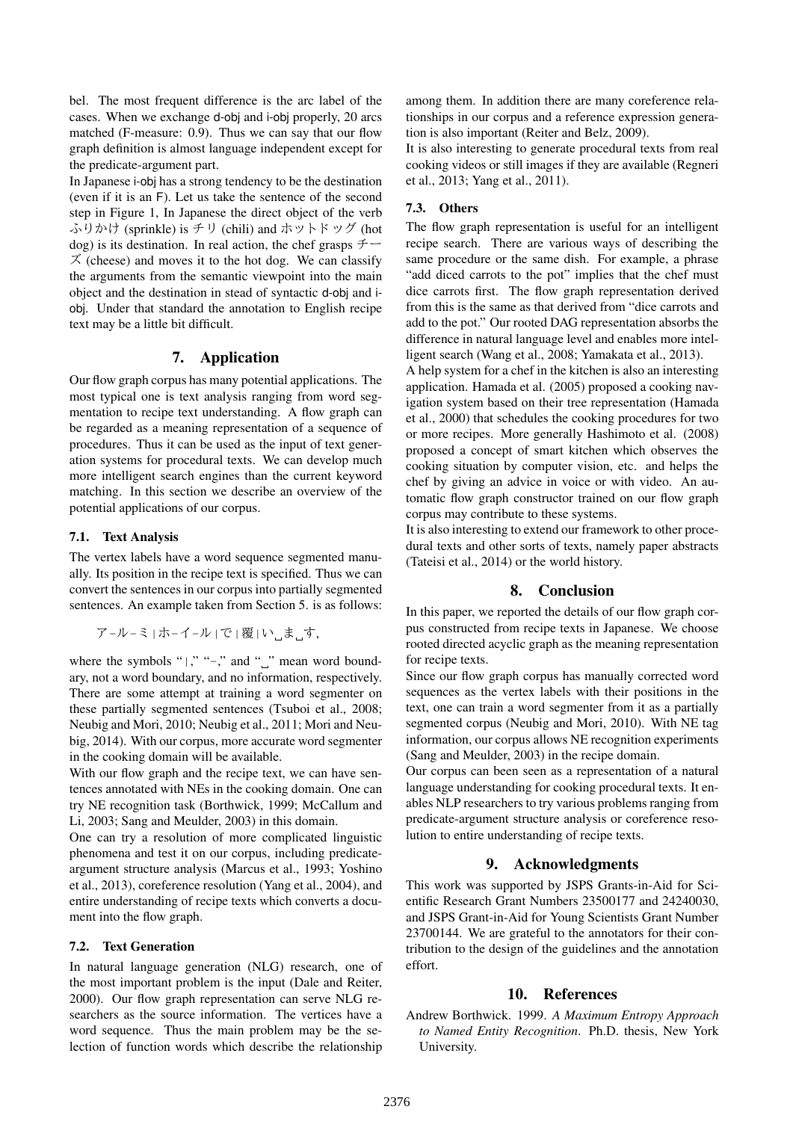bel. The most frequent difference is the arc label of the cases. When we exchange d-obj and i-obj properly, 20 arcs matched (F-measure: 0.9). Thus we can say that our flow graph definition is almost language independent except for the predicate-argument part.

In Japanese i-obj has a strong tendency to be the destination (even if it is an F). Let us take the sentence of the second step in Figure 1, In Japanese the direct object of the verb ふりかけ (sprinkle) is チリ (chili) and ホットドッグ (hot dog) is its destination. In real action, the chef grasps  $\ddot{\tau}$  $\chi$  (cheese) and moves it to the hot dog. We can classify the arguments from the semantic viewpoint into the main object and the destination in stead of syntactic d-obj and iobj. Under that standard the annotation to English recipe text may be a little bit difficult.

## 7. Application

Our flow graph corpus has many potential applications. The most typical one is text analysis ranging from word segmentation to recipe text understanding. A flow graph can be regarded as a meaning representation of a sequence of procedures. Thus it can be used as the input of text generation systems for procedural texts. We can develop much more intelligent search engines than the current keyword matching. In this section we describe an overview of the potential applications of our corpus.

#### 7.1. Text Analysis

The vertex labels have a word sequence segmented manually. Its position in the recipe text is specified. Thus we can convert the sentences in our corpus into partially segmented sentences. An example taken from Section 5. is as follows:

ア-ル-ミ|ホ-イ-ル|で|覆|い ま す,

where the symbols " $|$ ," "-," and " $\Box$ " mean word boundary, not a word boundary, and no information, respectively. There are some attempt at training a word segmenter on these partially segmented sentences (Tsuboi et al., 2008; Neubig and Mori, 2010; Neubig et al., 2011; Mori and Neubig, 2014). With our corpus, more accurate word segmenter in the cooking domain will be available.

With our flow graph and the recipe text, we can have sentences annotated with NEs in the cooking domain. One can try NE recognition task (Borthwick, 1999; McCallum and Li, 2003; Sang and Meulder, 2003) in this domain.

One can try a resolution of more complicated linguistic phenomena and test it on our corpus, including predicateargument structure analysis (Marcus et al., 1993; Yoshino et al., 2013), coreference resolution (Yang et al., 2004), and entire understanding of recipe texts which converts a document into the flow graph.

#### 7.2. Text Generation

In natural language generation (NLG) research, one of the most important problem is the input (Dale and Reiter, 2000). Our flow graph representation can serve NLG researchers as the source information. The vertices have a word sequence. Thus the main problem may be the selection of function words which describe the relationship among them. In addition there are many coreference relationships in our corpus and a reference expression generation is also important (Reiter and Belz, 2009).

It is also interesting to generate procedural texts from real cooking videos or still images if they are available (Regneri et al., 2013; Yang et al., 2011).

#### 7.3. Others

The flow graph representation is useful for an intelligent recipe search. There are various ways of describing the same procedure or the same dish. For example, a phrase "add diced carrots to the pot" implies that the chef must dice carrots first. The flow graph representation derived from this is the same as that derived from "dice carrots and add to the pot." Our rooted DAG representation absorbs the difference in natural language level and enables more intelligent search (Wang et al., 2008; Yamakata et al., 2013).

A help system for a chef in the kitchen is also an interesting application. Hamada et al. (2005) proposed a cooking navigation system based on their tree representation (Hamada et al., 2000) that schedules the cooking procedures for two or more recipes. More generally Hashimoto et al. (2008) proposed a concept of smart kitchen which observes the cooking situation by computer vision, etc. and helps the chef by giving an advice in voice or with video. An automatic flow graph constructor trained on our flow graph corpus may contribute to these systems.

It is also interesting to extend our framework to other procedural texts and other sorts of texts, namely paper abstracts (Tateisi et al., 2014) or the world history.

#### 8. Conclusion

In this paper, we reported the details of our flow graph corpus constructed from recipe texts in Japanese. We choose rooted directed acyclic graph as the meaning representation for recipe texts.

Since our flow graph corpus has manually corrected word sequences as the vertex labels with their positions in the text, one can train a word segmenter from it as a partially segmented corpus (Neubig and Mori, 2010). With NE tag information, our corpus allows NE recognition experiments (Sang and Meulder, 2003) in the recipe domain.

Our corpus can been seen as a representation of a natural language understanding for cooking procedural texts. It enables NLP researchers to try various problems ranging from predicate-argument structure analysis or coreference resolution to entire understanding of recipe texts.

## 9. Acknowledgments

This work was supported by JSPS Grants-in-Aid for Scientific Research Grant Numbers 23500177 and 24240030, and JSPS Grant-in-Aid for Young Scientists Grant Number 23700144. We are grateful to the annotators for their contribution to the design of the guidelines and the annotation effort.

#### 10. References

Andrew Borthwick. 1999. *A Maximum Entropy Approach to Named Entity Recognition*. Ph.D. thesis, New York University.